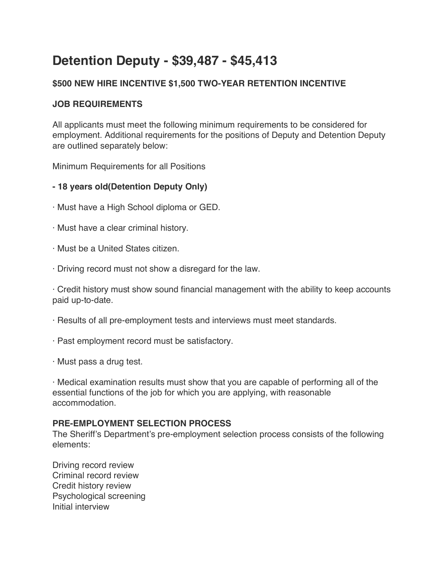# **Detention Deputy - \$39,487 - \$45,413**

# **\$500 NEW HIRE INCENTIVE \$1,500 TWO-YEAR RETENTION INCENTIVE**

## **JOB REQUIREMENTS**

All applicants must meet the following minimum requirements to be considered for employment. Additional requirements for the positions of Deputy and Detention Deputy are outlined separately below:

Minimum Requirements for all Positions

# **- 18 years old(Detention Deputy Only)**

- · Must have a High School diploma or GED.
- · Must have a clear criminal history.
- · Must be a United States citizen.
- · Driving record must not show a disregard for the law.

· Credit history must show sound financial management with the ability to keep accounts paid up-to-date.

- · Results of all pre-employment tests and interviews must meet standards.
- · Past employment record must be satisfactory.
- · Must pass a drug test.

· Medical examination results must show that you are capable of performing all of the essential functions of the job for which you are applying, with reasonable accommodation.

### **PRE-EMPLOYMENT SELECTION PROCESS**

The Sheriff's Department's pre-employment selection process consists of the following elements:

Driving record review Criminal record review Credit history review Psychological screening Initial interview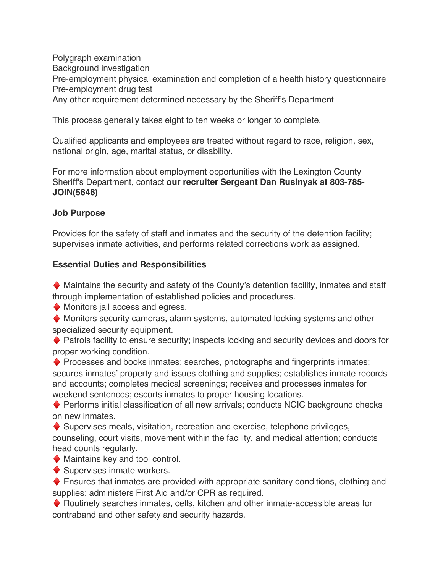Polygraph examination Background investigation Pre-employment physical examination and completion of a health history questionnaire Pre-employment drug test Any other requirement determined necessary by the Sheriff's Department

This process generally takes eight to ten weeks or longer to complete.

Qualified applicants and employees are treated without regard to race, religion, sex, national origin, age, marital status, or disability.

For more information about employment opportunities with the Lexington County Sheriff's Department, contact **our recruiter Sergeant Dan Rusinyak at 803-785- JOIN(5646)**

#### **Job Purpose**

Provides for the safety of staff and inmates and the security of the detention facility; supervises inmate activities, and performs related corrections work as assigned.

#### **Essential Duties and Responsibilities**

 $\blacklozenge$  Maintains the security and safety of the County's detention facility, inmates and staff through implementation of established policies and procedures.

 $\blacklozenge$  Monitors jail access and egress.

♦ Monitors security cameras, alarm systems, automated locking systems and other specialized security equipment.

♦ Patrols facility to ensure security; inspects locking and security devices and doors for proper working condition.

 $\blacklozenge$  Processes and books inmates; searches, photographs and fingerprints inmates; secures inmates' property and issues clothing and supplies; establishes inmate records and accounts; completes medical screenings; receives and processes inmates for weekend sentences; escorts inmates to proper housing locations.

 $\blacklozenge$  Performs initial classification of all new arrivals; conducts NCIC background checks on new inmates.

 $\blacklozenge$  Supervises meals, visitation, recreation and exercise, telephone privileges, counseling, court visits, movement within the facility, and medical attention; conducts head counts regularly.

 $\blacklozenge$  Maintains key and tool control.

 $\blacklozenge$  Supervises inmate workers.

 $\blacklozenge$  Ensures that inmates are provided with appropriate sanitary conditions, clothing and supplies; administers First Aid and/or CPR as required.

♦ Routinely searches inmates, cells, kitchen and other inmate-accessible areas for contraband and other safety and security hazards.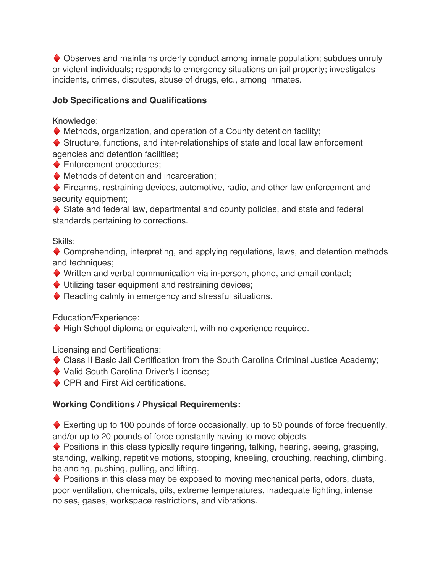♦ Observes and maintains orderly conduct among inmate population; subdues unruly or violent individuals; responds to emergency situations on jail property; investigates incidents, crimes, disputes, abuse of drugs, etc., among inmates.

# **Job Specifications and Qualifications**

Knowledge:

 $\blacklozenge$  Methods, organization, and operation of a County detention facility;

♦ Structure, functions, and inter-relationships of state and local law enforcement agencies and detention facilities;

◆ Enforcement procedures;

 $\blacklozenge$  Methods of detention and incarceration;

♦ Firearms, restraining devices, automotive, radio, and other law enforcement and security equipment;

♦ State and federal law, departmental and county policies, and state and federal standards pertaining to corrections.

Skills:

◆ Comprehending, interpreting, and applying regulations, laws, and detention methods and techniques;

♦ Written and verbal communication via in-person, phone, and email contact;

♦ Utilizing taser equipment and restraining devices;

♦ Reacting calmly in emergency and stressful situations.

Education/Experience:

♦ High School diploma or equivalent, with no experience required.

Licensing and Certifications:

- ♦ Class II Basic Jail Certification from the South Carolina Criminal Justice Academy;
- ♦ Valid South Carolina Driver's License;

◆ CPR and First Aid certifications.

# **Working Conditions / Physical Requirements:**

 $\blacklozenge$  Exerting up to 100 pounds of force occasionally, up to 50 pounds of force frequently, and/or up to 20 pounds of force constantly having to move objects.

♦ Positions in this class typically require fingering, talking, hearing, seeing, grasping, standing, walking, repetitive motions, stooping, kneeling, crouching, reaching, climbing, balancing, pushing, pulling, and lifting.

♦ Positions in this class may be exposed to moving mechanical parts, odors, dusts, poor ventilation, chemicals, oils, extreme temperatures, inadequate lighting, intense noises, gases, workspace restrictions, and vibrations.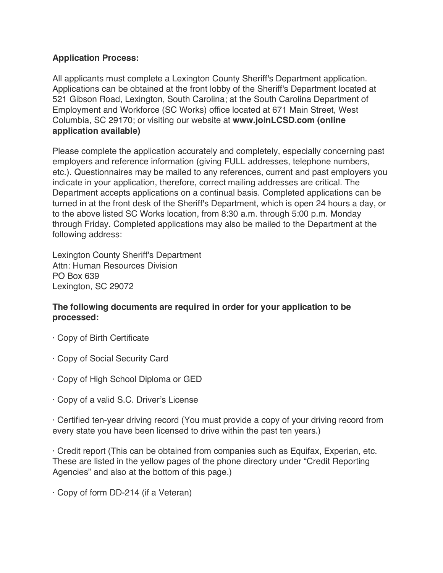### **Application Process:**

All applicants must complete a Lexington County Sheriff's Department application. Applications can be obtained at the front lobby of the Sheriff's Department located at 521 Gibson Road, Lexington, South Carolina; at the South Carolina Department of Employment and Workforce (SC Works) office located at 671 Main Street, West Columbia, SC 29170; or visiting our website at **www.joinLCSD.com (online application available)**

Please complete the application accurately and completely, especially concerning past employers and reference information (giving FULL addresses, telephone numbers, etc.). Questionnaires may be mailed to any references, current and past employers you indicate in your application, therefore, correct mailing addresses are critical. The Department accepts applications on a continual basis. Completed applications can be turned in at the front desk of the Sheriff's Department, which is open 24 hours a day, or to the above listed SC Works location, from 8:30 a.m. through 5:00 p.m. Monday through Friday. Completed applications may also be mailed to the Department at the following address:

Lexington County Sheriff's Department Attn: Human Resources Division PO Box 639 Lexington, SC 29072

### **The following documents are required in order for your application to be processed:**

- · Copy of Birth Certificate
- · Copy of Social Security Card
- · Copy of High School Diploma or GED
- · Copy of a valid S.C. Driver's License

· Certified ten-year driving record (You must provide a copy of your driving record from every state you have been licensed to drive within the past ten years.)

· Credit report (This can be obtained from companies such as Equifax, Experian, etc. These are listed in the yellow pages of the phone directory under "Credit Reporting Agencies" and also at the bottom of this page.)

· Copy of form DD-214 (if a Veteran)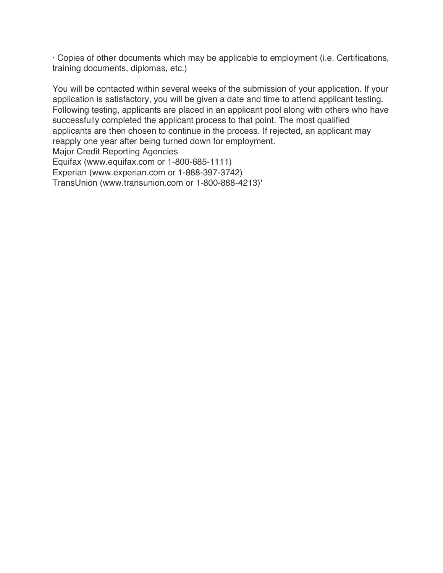· Copies of other documents which may be applicable to employment (i.e. Certifications, training documents, diplomas, etc.)

You will be contacted within several weeks of the submission of your application. If your application is satisfactory, you will be given a date and time to attend applicant testing. Following testing, applicants are placed in an applicant pool along with others who have successfully completed the applicant process to that point. The most qualified applicants are then chosen to continue in the process. If rejected, an applicant may reapply one year after being turned down for employment. Major Credit Reporting Agencies Equifax (www.equifax.com or 1-800-685-1111) Experian (www.experian.com or 1-888-397-3742) TransUnion (www.transunion.com or 1-800-888-4213)'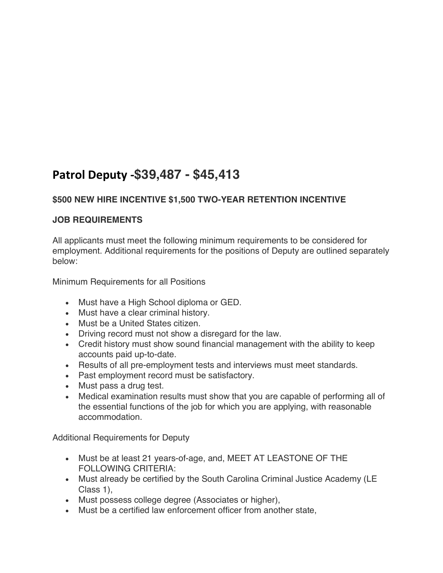# **Patrol Deputy -\$39,487 - \$45,413**

# **\$500 NEW HIRE INCENTIVE \$1,500 TWO-YEAR RETENTION INCENTIVE**

# **JOB REQUIREMENTS**

All applicants must meet the following minimum requirements to be considered for employment. Additional requirements for the positions of Deputy are outlined separately below:

Minimum Requirements for all Positions

- Must have a High School diploma or GED.
- Must have a clear criminal history.
- Must be a United States citizen.
- Driving record must not show a disregard for the law.
- Credit history must show sound financial management with the ability to keep accounts paid up-to-date.
- Results of all pre-employment tests and interviews must meet standards.
- Past employment record must be satisfactory.
- Must pass a drug test.
- Medical examination results must show that you are capable of performing all of the essential functions of the job for which you are applying, with reasonable accommodation.

Additional Requirements for Deputy

- Must be at least 21 years-of-age, and, MEET AT LEASTONE OF THE FOLLOWING CRITERIA:
- Must already be certified by the South Carolina Criminal Justice Academy (LE Class 1),
- Must possess college degree (Associates or higher),
- Must be a certified law enforcement officer from another state,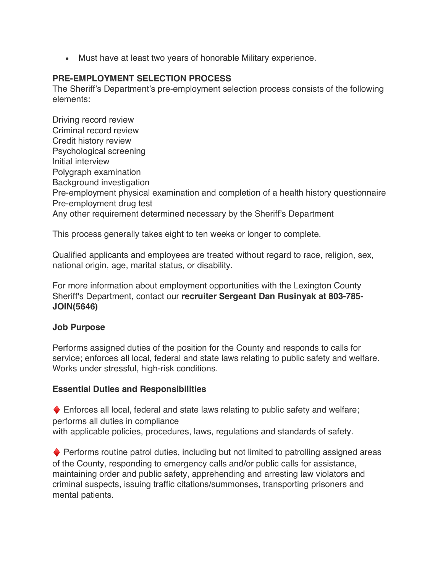• Must have at least two years of honorable Military experience.

### **PRE-EMPLOYMENT SELECTION PROCESS**

The Sheriff's Department's pre-employment selection process consists of the following elements:

Driving record review Criminal record review Credit history review Psychological screening Initial interview Polygraph examination Background investigation Pre-employment physical examination and completion of a health history questionnaire Pre-employment drug test Any other requirement determined necessary by the Sheriff's Department

This process generally takes eight to ten weeks or longer to complete.

Qualified applicants and employees are treated without regard to race, religion, sex, national origin, age, marital status, or disability.

For more information about employment opportunities with the Lexington County Sheriff's Department, contact our **recruiter Sergeant Dan Rusinyak at 803-785- JOIN(5646)**

### **Job Purpose**

Performs assigned duties of the position for the County and responds to calls for service; enforces all local, federal and state laws relating to public safety and welfare. Works under stressful, high-risk conditions.

### **Essential Duties and Responsibilities**

 $\blacklozenge$  Enforces all local, federal and state laws relating to public safety and welfare; performs all duties in compliance with applicable policies, procedures, laws, regulations and standards of safety.

 $\blacklozenge$  Performs routine patrol duties, including but not limited to patrolling assigned areas of the County, responding to emergency calls and/or public calls for assistance, maintaining order and public safety, apprehending and arresting law violators and criminal suspects, issuing traffic citations/summonses, transporting prisoners and mental patients.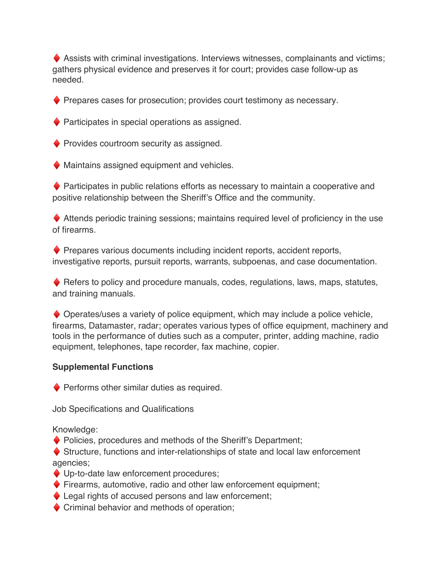$\blacklozenge$  Assists with criminal investigations. Interviews witnesses, complainants and victims; gathers physical evidence and preserves it for court; provides case follow-up as needed.

 $\blacklozenge$  Prepares cases for prosecution; provides court testimony as necessary.

 $\blacklozenge$  Participates in special operations as assigned.

 $\blacklozenge$  Provides courtroom security as assigned.

 $\blacklozenge$  Maintains assigned equipment and vehicles.

♦ Participates in public relations efforts as necessary to maintain a cooperative and positive relationship between the Sheriff's Office and the community.

 $\blacklozenge$  Attends periodic training sessions; maintains required level of proficiency in the use of firearms.

♦ Prepares various documents including incident reports, accident reports, investigative reports, pursuit reports, warrants, subpoenas, and case documentation.

 $\blacklozenge$  Refers to policy and procedure manuals, codes, regulations, laws, maps, statutes, and training manuals.

♦ Operates/uses a variety of police equipment, which may include a police vehicle, firearms, Datamaster, radar; operates various types of office equipment, machinery and tools in the performance of duties such as a computer, printer, adding machine, radio equipment, telephones, tape recorder, fax machine, copier.

### **Supplemental Functions**

 $\blacklozenge$  Performs other similar duties as required.

Job Specifications and Qualifications

Knowledge:

♦ Policies, procedures and methods of the Sheriff's Department;

♦ Structure, functions and inter-relationships of state and local law enforcement agencies;

- ♦ Up-to-date law enforcement procedures;
- ♦ Firearms, automotive, radio and other law enforcement equipment;
- $\blacklozenge$  Legal rights of accused persons and law enforcement;
- $\blacklozenge$  Criminal behavior and methods of operation: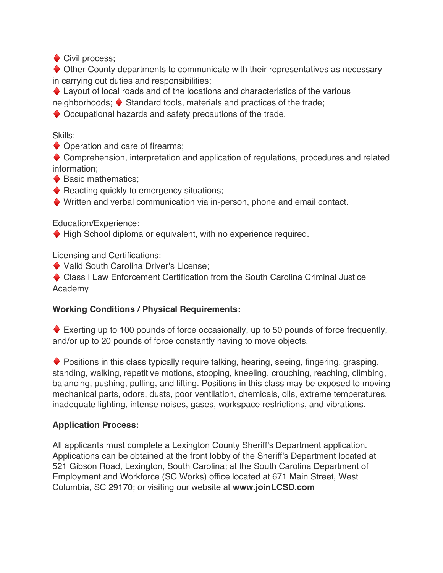♦ Civil process;

♦ Other County departments to communicate with their representatives as necessary in carrying out duties and responsibilities;

 $\blacklozenge$  Layout of local roads and of the locations and characteristics of the various

neighborhoods; ♦ Standard tools, materials and practices of the trade;

♦ Occupational hazards and safety precautions of the trade.

Skills:

 $\blacklozenge$  Operation and care of firearms;

♦ Comprehension, interpretation and application of regulations, procedures and related information;

♦ Basic mathematics;

 $\blacklozenge$  Reacting quickly to emergency situations;

♦ Written and verbal communication via in-person, phone and email contact.

Education/Experience:

♦ High School diploma or equivalent, with no experience required.

Licensing and Certifications:

♦ Valid South Carolina Driver's License;

♦ Class I Law Enforcement Certification from the South Carolina Criminal Justice Academy

### **Working Conditions / Physical Requirements:**

 $\blacklozenge$  Exerting up to 100 pounds of force occasionally, up to 50 pounds of force frequently, and/or up to 20 pounds of force constantly having to move objects.

 $\blacklozenge$  Positions in this class typically require talking, hearing, seeing, fingering, grasping, standing, walking, repetitive motions, stooping, kneeling, crouching, reaching, climbing, balancing, pushing, pulling, and lifting. Positions in this class may be exposed to moving mechanical parts, odors, dusts, poor ventilation, chemicals, oils, extreme temperatures, inadequate lighting, intense noises, gases, workspace restrictions, and vibrations.

### **Application Process:**

All applicants must complete a Lexington County Sheriff's Department application. Applications can be obtained at the front lobby of the Sheriff's Department located at 521 Gibson Road, Lexington, South Carolina; at the South Carolina Department of Employment and Workforce (SC Works) office located at 671 Main Street, West Columbia, SC 29170; or visiting our website at **www.joinLCSD.com**